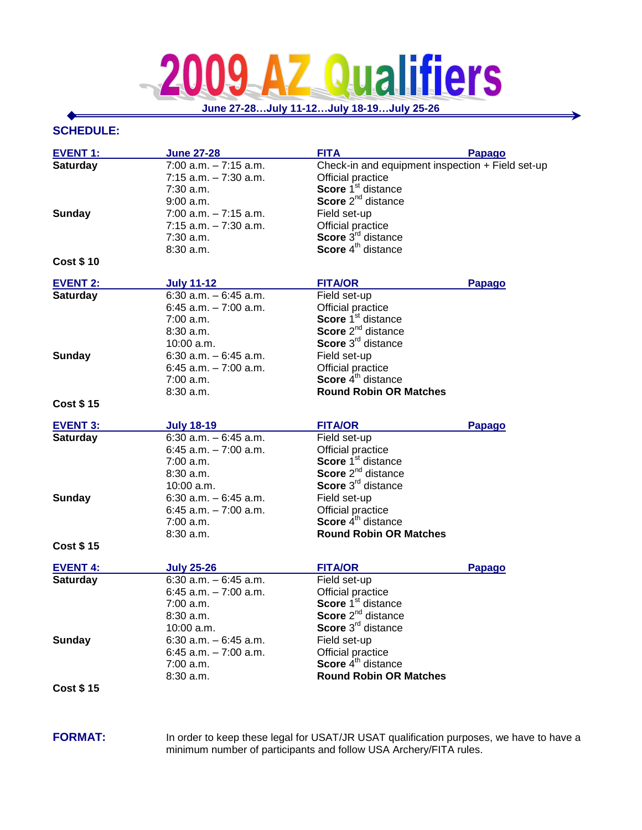## **Z Qualifiers** 2  $\overline{A}$

**June 27-28…July 11-12…July 18-19…July 25-26**

∍

## **SCHEDULE:**

| <b>EVENT 1:</b>  | <b>June 27-28</b>         | <b>FITA</b>                                      | <b>Papago</b> |
|------------------|---------------------------|--------------------------------------------------|---------------|
| <b>Saturday</b>  | $7:00$ a.m. $-7:15$ a.m.  | Check-in and equipment inspection + Field set-up |               |
|                  | $7:15$ a.m. $-7:30$ a.m.  | Official practice                                |               |
|                  | $7:30$ a.m.               | Score 1 <sup>st</sup> distance                   |               |
|                  | 9:00 a.m.                 | Score 2 <sup>nd</sup> distance                   |               |
| <b>Sunday</b>    | $7:00$ a.m. $-7:15$ a.m.  | Field set-up                                     |               |
|                  | $7:15$ a.m. $-7:30$ a.m.  | Official practice                                |               |
|                  | 7:30 a.m.                 | Score 3rd distance                               |               |
|                  | 8:30 a.m.                 | Score 4 <sup>th</sup> distance                   |               |
| <b>Cost \$10</b> |                           |                                                  |               |
| <b>EVENT 2:</b>  | <b>July 11-12</b>         | <b>FITA/OR</b>                                   | <b>Papago</b> |
| <b>Saturday</b>  | 6:30 $a.m. - 6:45$ $a.m.$ | Field set-up                                     |               |
|                  | 6:45 $a.m. - 7:00$ $a.m.$ | Official practice                                |               |
|                  | $7:00$ a.m.               | Score 1 <sup>st</sup> distance                   |               |
|                  | $8:30$ a.m.               | Score 2 <sup>nd</sup> distance                   |               |
|                  | $10:00$ a.m.              | Score 3 <sup>rd</sup> distance                   |               |
| <b>Sunday</b>    | $6:30$ a.m. $-6:45$ a.m.  | Field set-up                                     |               |
|                  | $6:45$ a.m. $-7:00$ a.m.  | Official practice                                |               |
|                  | 7:00 a.m.                 | Score 4 <sup>th</sup> distance                   |               |
|                  | 8:30 a.m.                 | <b>Round Robin OR Matches</b>                    |               |
| <b>Cost \$15</b> |                           |                                                  |               |
| <b>EVENT 3:</b>  | <b>July 18-19</b>         | <b>FITA/OR</b>                                   | <b>Papago</b> |
| <b>Saturday</b>  | 6:30 $a.m. - 6:45$ $a.m.$ | Field set-up                                     |               |
|                  | 6:45 a.m. $-7:00$ a.m.    | Official practice                                |               |
|                  | 7:00 a.m.                 | Score 1 <sup>st</sup> distance                   |               |
|                  | $8:30$ a.m.               | Score 2 <sup>nd</sup> distance                   |               |
|                  | 10:00 a.m.                | Score 3 <sup>rd</sup> distance                   |               |
| <b>Sunday</b>    | $6:30$ a.m. $-6:45$ a.m.  | Field set-up                                     |               |
|                  | $6:45$ a.m. $-7:00$ a.m.  | Official practice                                |               |
|                  | 7:00 a.m.                 | Score 4 <sup>th</sup> distance                   |               |
|                  | 8:30 a.m.                 | <b>Round Robin OR Matches</b>                    |               |
| <b>Cost \$15</b> |                           |                                                  |               |
| <b>EVENT 4:</b>  | <b>July 25-26</b>         | <b>FITA/OR</b>                                   | <b>Papago</b> |
| <b>Saturday</b>  | $6:30$ a.m. $-6:45$ a.m.  | Field set-up                                     |               |
|                  | $6:45$ a.m. $-7:00$ a.m.  | Official practice                                |               |
|                  | 7:00 a.m.                 | Score 1 <sup>st</sup> distance                   |               |
|                  | 8:30 a.m.                 | Score 2 <sup>nd</sup> distance                   |               |
|                  | 10:00 a.m.                | Score 3 <sup>rd</sup> distance                   |               |
| <b>Sunday</b>    | 6:30 $a.m. - 6:45 a.m.$   | Field set-up                                     |               |
|                  | 6:45 a.m. $-7:00$ a.m.    | Official practice                                |               |
|                  | 7:00 a.m.                 | Score 4 <sup>th</sup> distance                   |               |
|                  | 8:30 a.m.                 | <b>Round Robin OR Matches</b>                    |               |
| <b>Cost \$15</b> |                           |                                                  |               |
|                  |                           |                                                  |               |

FORMAT: In order to keep these legal for USAT/JR USAT qualification purposes, we have to have a minimum number of participants and follow USA Archery/FITA rules.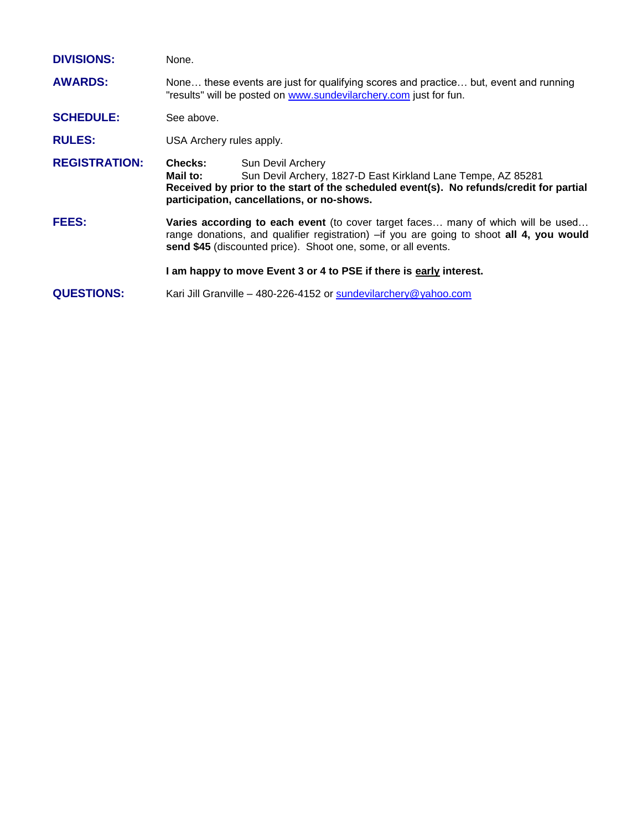| <b>DIVISIONS:</b>    | None.                                                                                                                                                                                                                                          |                                                                                                                                                                                                                            |  |
|----------------------|------------------------------------------------------------------------------------------------------------------------------------------------------------------------------------------------------------------------------------------------|----------------------------------------------------------------------------------------------------------------------------------------------------------------------------------------------------------------------------|--|
| <b>AWARDS:</b>       | None these events are just for qualifying scores and practice but, event and running<br>"results" will be posted on www.sundevilarchery.com just for fun.                                                                                      |                                                                                                                                                                                                                            |  |
| <b>SCHEDULE:</b>     | See above.                                                                                                                                                                                                                                     |                                                                                                                                                                                                                            |  |
| <b>RULES:</b>        | USA Archery rules apply.                                                                                                                                                                                                                       |                                                                                                                                                                                                                            |  |
| <b>REGISTRATION:</b> | <b>Checks:</b><br>Mail to:                                                                                                                                                                                                                     | Sun Devil Archery<br>Sun Devil Archery, 1827-D East Kirkland Lane Tempe, AZ 85281<br>Received by prior to the start of the scheduled event(s). No refunds/credit for partial<br>participation, cancellations, or no-shows. |  |
| <b>FEES:</b>         | Varies according to each event (to cover target faces many of which will be used<br>range donations, and qualifier registration) - if you are going to shoot all 4, you would<br>send \$45 (discounted price). Shoot one, some, or all events. |                                                                                                                                                                                                                            |  |
|                      | I am happy to move Event 3 or 4 to PSE if there is early interest.                                                                                                                                                                             |                                                                                                                                                                                                                            |  |
| <b>QUESTIONS:</b>    | Kari Jill Granville – 480-226-4152 or sundevilarchery@yahoo.com                                                                                                                                                                                |                                                                                                                                                                                                                            |  |